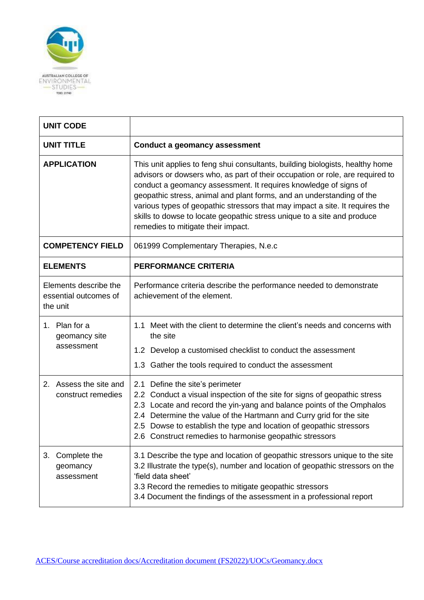

| <b>UNIT CODE</b>                                           |                                                                                                                                                                                                                                                                                                                                                                                                                                                                                                              |  |
|------------------------------------------------------------|--------------------------------------------------------------------------------------------------------------------------------------------------------------------------------------------------------------------------------------------------------------------------------------------------------------------------------------------------------------------------------------------------------------------------------------------------------------------------------------------------------------|--|
| <b>UNIT TITLE</b>                                          | <b>Conduct a geomancy assessment</b>                                                                                                                                                                                                                                                                                                                                                                                                                                                                         |  |
| <b>APPLICATION</b>                                         | This unit applies to feng shui consultants, building biologists, healthy home<br>advisors or dowsers who, as part of their occupation or role, are required to<br>conduct a geomancy assessment. It requires knowledge of signs of<br>geopathic stress, animal and plant forms, and an understanding of the<br>various types of geopathic stressors that may impact a site. It requires the<br>skills to dowse to locate geopathic stress unique to a site and produce<br>remedies to mitigate their impact. |  |
| <b>COMPETENCY FIELD</b>                                    | 061999 Complementary Therapies, N.e.c                                                                                                                                                                                                                                                                                                                                                                                                                                                                        |  |
| <b>ELEMENTS</b>                                            | <b>PERFORMANCE CRITERIA</b>                                                                                                                                                                                                                                                                                                                                                                                                                                                                                  |  |
| Elements describe the<br>essential outcomes of<br>the unit | Performance criteria describe the performance needed to demonstrate<br>achievement of the element.                                                                                                                                                                                                                                                                                                                                                                                                           |  |
| 1. Plan for a<br>geomancy site<br>assessment               | 1.1 Meet with the client to determine the client's needs and concerns with<br>the site<br>1.2 Develop a customised checklist to conduct the assessment<br>1.3 Gather the tools required to conduct the assessment                                                                                                                                                                                                                                                                                            |  |
| Assess the site and<br>2.<br>construct remedies            | Define the site's perimeter<br>2.1<br>2.2 Conduct a visual inspection of the site for signs of geopathic stress<br>2.3 Locate and record the yin-yang and balance points of the Omphalos<br>2.4 Determine the value of the Hartmann and Curry grid for the site<br>2.5 Dowse to establish the type and location of geopathic stressors<br>2.6 Construct remedies to harmonise geopathic stressors                                                                                                            |  |
| Complete the<br>3.<br>geomancy<br>assessment               | 3.1 Describe the type and location of geopathic stressors unique to the site<br>3.2 Illustrate the type(s), number and location of geopathic stressors on the<br>'field data sheet'<br>3.3 Record the remedies to mitigate geopathic stressors<br>3.4 Document the findings of the assessment in a professional report                                                                                                                                                                                       |  |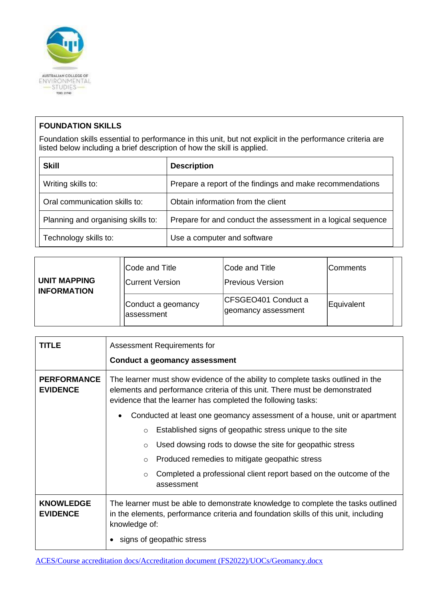

## **FOUNDATION SKILLS**

Foundation skills essential to performance in this unit, but not explicit in the performance criteria are listed below including a brief description of how the skill is applied.

| <b>Skill</b>                       | <b>Description</b>                                           |  |
|------------------------------------|--------------------------------------------------------------|--|
| Writing skills to:                 | Prepare a report of the findings and make recommendations    |  |
| Oral communication skills to:      | Obtain information from the client                           |  |
| Planning and organising skills to: | Prepare for and conduct the assessment in a logical sequence |  |
| Technology skills to:              | Use a computer and software                                  |  |

| <b>UNIT MAPPING</b><br><b>INFORMATION</b> | Code and Title<br><b>Current Version</b> | Code and Title<br><b>Previous Version</b>  | lComments  |
|-------------------------------------------|------------------------------------------|--------------------------------------------|------------|
|                                           | Conduct a geomancy<br>lassessment        | CFSGEO401 Conduct a<br>geomancy assessment | Equivalent |

| TITLE                                 | Assessment Requirements for<br><b>Conduct a geomancy assessment</b>                                                                                                                                                           |  |
|---------------------------------------|-------------------------------------------------------------------------------------------------------------------------------------------------------------------------------------------------------------------------------|--|
| <b>PERFORMANCE</b><br><b>EVIDENCE</b> | The learner must show evidence of the ability to complete tasks outlined in the<br>elements and performance criteria of this unit. There must be demonstrated<br>evidence that the learner has completed the following tasks: |  |
|                                       | Conducted at least one geomancy assessment of a house, unit or apartment                                                                                                                                                      |  |
|                                       | Established signs of geopathic stress unique to the site<br>$\circ$                                                                                                                                                           |  |
|                                       | Used dowsing rods to dowse the site for geopathic stress<br>$\circ$                                                                                                                                                           |  |
|                                       | Produced remedies to mitigate geopathic stress<br>$\circ$                                                                                                                                                                     |  |
|                                       | Completed a professional client report based on the outcome of the<br>$\circ$<br>assessment                                                                                                                                   |  |
| <b>KNOWLEDGE</b><br><b>EVIDENCE</b>   | The learner must be able to demonstrate knowledge to complete the tasks outlined<br>in the elements, performance criteria and foundation skills of this unit, including<br>knowledge of:<br>signs of geopathic stress         |  |